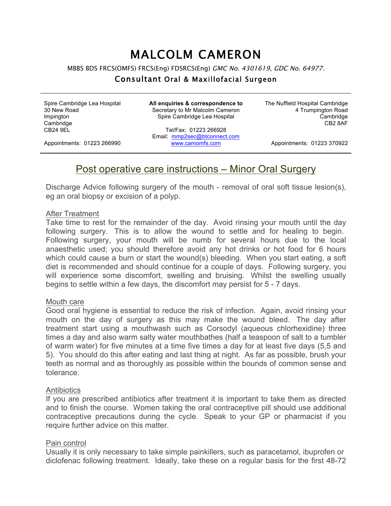# MALCOLM CAMERON

MBBS BDS FRCS(OMFS) FRCS(Eng) FDSRCS(Eng) GMC No. 4301619, GDC No. 64977.

### Consultant Oral & Maxillofacial Surgeon

Spire Cambridge Lea Hospital 30 New Road Impington **Cambridge** CB24 9EL

**All enquiries & correspondence to** Secretary to Mr Malcolm Cameron Spire Cambridge Lea Hospital

The Nuffield Hospital Cambridge 4 Trumpington Road Cambridge CB2 8AF

Appointments: 01223 266990

Tel/Fax: 01223 266928 Email: mmp2sec@btconnect.com www.camomfs.com

Appointments: 01223 370922

## Post operative care instructions – Minor Oral Surgery

Discharge Advice following surgery of the mouth - removal of oral soft tissue lesion(s), eg an oral biopsy or excision of a polyp.

#### After Treatment

Take time to rest for the remainder of the day. Avoid rinsing your mouth until the day following surgery. This is to allow the wound to settle and for healing to begin. Following surgery, your mouth will be numb for several hours due to the local anaesthetic used; you should therefore avoid any hot drinks or hot food for 6 hours which could cause a burn or start the wound(s) bleeding. When you start eating, a soft diet is recommended and should continue for a couple of days. Following surgery, you will experience some discomfort, swelling and bruising. Whilst the swelling usually begins to settle within a few days, the discomfort may persist for 5 - 7 days.

#### Mouth care

Good oral hygiene is essential to reduce the risk of infection. Again, avoid rinsing your mouth on the day of surgery as this may make the wound bleed. The day after treatment start using a mouthwash such as Corsodyl (aqueous chlorhexidine) three times a day and also warm salty water mouthbathes (half a teaspoon of salt to a tumbler of warm water) for five minutes at a time five times a day for at least five days (5,5 and 5). You should do this after eating and last thing at night. As far as possible, brush your teeth as normal and as thoroughly as possible within the bounds of common sense and tolerance.

#### **Antibiotics**

If you are prescribed antibiotics after treatment it is important to take them as directed and to finish the course. Women taking the oral contraceptive pill should use additional contraceptive precautions during the cycle. Speak to your GP or pharmacist if you require further advice on this matter.

#### Pain control

Usually it is only necessary to take simple painkillers, such as paracetamol, ibuprofen or diclofenac following treatment. Ideally, take these on a regular basis for the first 48-72